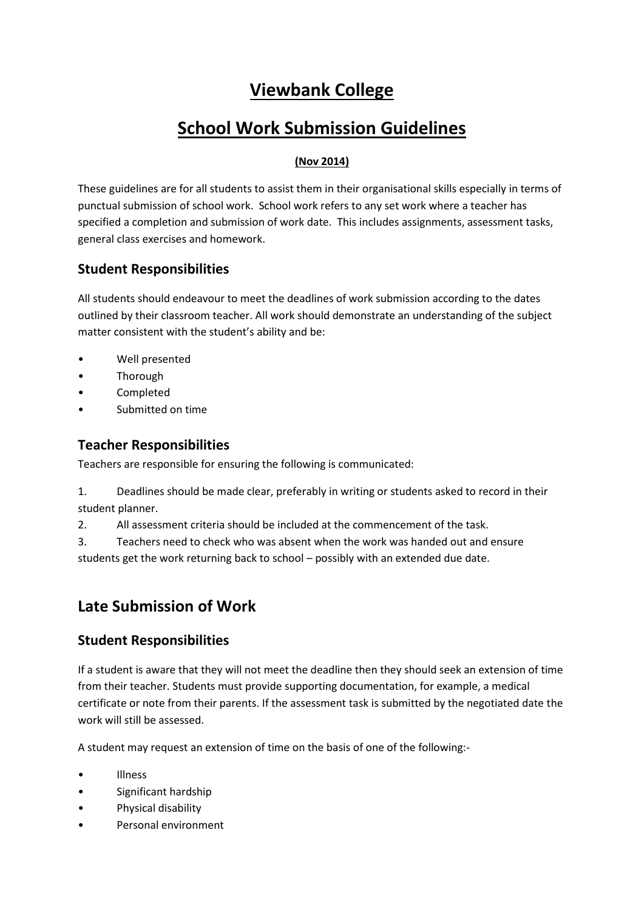## **Viewbank College**

# **School Work Submission Guidelines**

#### **(Nov 2014)**

These guidelines are for all students to assist them in their organisational skills especially in terms of punctual submission of school work. School work refers to any set work where a teacher has specified a completion and submission of work date. This includes assignments, assessment tasks, general class exercises and homework.

#### **Student Responsibilities**

All students should endeavour to meet the deadlines of work submission according to the dates outlined by their classroom teacher. All work should demonstrate an understanding of the subject matter consistent with the student's ability and be:

- Well presented
- **Thorough**
- Completed
- Submitted on time

### **Teacher Responsibilities**

Teachers are responsible for ensuring the following is communicated:

1. Deadlines should be made clear, preferably in writing or students asked to record in their student planner.

2. All assessment criteria should be included at the commencement of the task.

3. Teachers need to check who was absent when the work was handed out and ensure students get the work returning back to school – possibly with an extended due date.

## **Late Submission of Work**

#### **Student Responsibilities**

If a student is aware that they will not meet the deadline then they should seek an extension of time from their teacher. Students must provide supporting documentation, for example, a medical certificate or note from their parents. If the assessment task is submitted by the negotiated date the work will still be assessed.

A student may request an extension of time on the basis of one of the following:-

- Illness
- Significant hardship
- Physical disability
- Personal environment